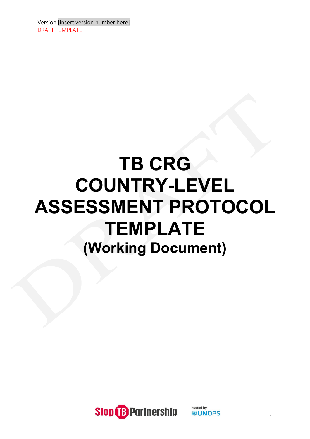# **TB CRG COUNTRY-LEVEL ASSESSMENT PROTOCOL TEMPLATE (Working Document)**

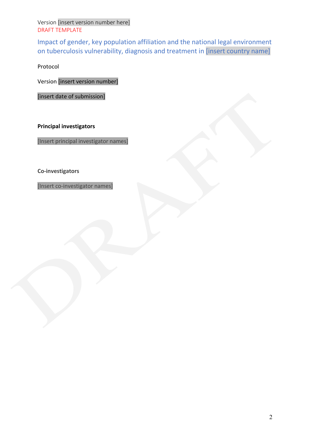Impact of gender, key population affiliation and the national legal environment on tuberculosis vulnerability, diagnosis and treatment in [insert country name]

Protocol

Version [insert version number]

[insert date of submission]

**Principal investigators**

[Insert principal investigator names]

**Co-investigators**

[Insert co-investigator names]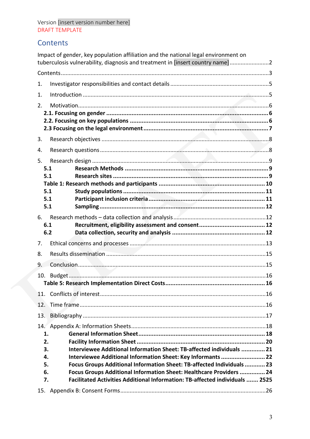# Contents

|            | Impact of gender, key population affiliation and the national legal environment on<br>tuberculosis vulnerability, diagnosis and treatment in [insert country name]2 |  |
|------------|---------------------------------------------------------------------------------------------------------------------------------------------------------------------|--|
|            |                                                                                                                                                                     |  |
| 1.         |                                                                                                                                                                     |  |
| 1.         |                                                                                                                                                                     |  |
| 2.         |                                                                                                                                                                     |  |
|            |                                                                                                                                                                     |  |
|            |                                                                                                                                                                     |  |
|            |                                                                                                                                                                     |  |
| 3.         |                                                                                                                                                                     |  |
| 4.         |                                                                                                                                                                     |  |
| 5.         |                                                                                                                                                                     |  |
| 5.1<br>5.1 |                                                                                                                                                                     |  |
|            |                                                                                                                                                                     |  |
| 5.1        |                                                                                                                                                                     |  |
| 5.1        |                                                                                                                                                                     |  |
| 5.1        |                                                                                                                                                                     |  |
| 6.         |                                                                                                                                                                     |  |
| 6.1        |                                                                                                                                                                     |  |
| 6.2        |                                                                                                                                                                     |  |
| 7.         |                                                                                                                                                                     |  |
| 8.         |                                                                                                                                                                     |  |
| 9.         |                                                                                                                                                                     |  |
|            |                                                                                                                                                                     |  |
|            |                                                                                                                                                                     |  |
| 11.        |                                                                                                                                                                     |  |
| 12.        |                                                                                                                                                                     |  |
| 13.        |                                                                                                                                                                     |  |
|            |                                                                                                                                                                     |  |
| 1.         |                                                                                                                                                                     |  |
| 2.         |                                                                                                                                                                     |  |
| 3.         | Interviewee Additional Information Sheet: TB-affected individuals  21                                                                                               |  |
| 4.<br>5.   | Interviewee Additional Information Sheet: Key Informants  22<br>Focus Groups Additional Information Sheet: TB-affected Individuals  23                              |  |
| 6.         | Focus Groups Additional Information Sheet: Healthcare Providers  24                                                                                                 |  |
| 7.         | Facilitated Activities Additional Information: TB-affected individuals  2525                                                                                        |  |
|            |                                                                                                                                                                     |  |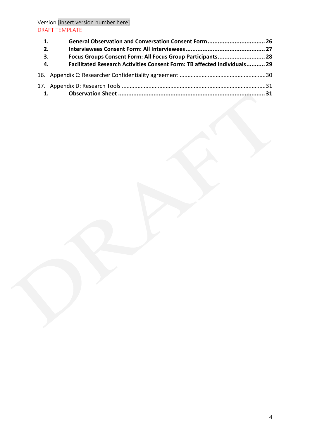| 1. | General Observation and Conversation Consent Form 26                     |  |
|----|--------------------------------------------------------------------------|--|
| 2. |                                                                          |  |
| 3. | Focus Groups Consent Form: All Focus Group Participants 28               |  |
| 4. | Facilitated Research Activities Consent Form: TB affected individuals 29 |  |
|    |                                                                          |  |
|    |                                                                          |  |
|    |                                                                          |  |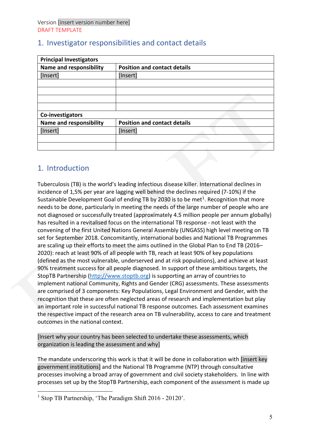| <b>Principal Investigators</b> |                                     |
|--------------------------------|-------------------------------------|
| <b>Name and responsibility</b> | <b>Position and contact details</b> |
| [Insert]                       | [Insert]                            |
|                                |                                     |
|                                |                                     |
|                                |                                     |
|                                |                                     |
| Co-investigators               |                                     |
| <b>Name and responsibility</b> | <b>Position and contact details</b> |
| [Insert]                       | [Insert]                            |
|                                |                                     |
|                                |                                     |

# 1. Investigator responsibilities and contact details

# 1. Introduction

Tuberculosis (TB) is the world's leading infectious disease killer. International declines in incidence of 1,5% per year are lagging well behind the declines required (7-10%) if the Sustainable Development Goal of ending TB by 2030 is to be met<sup>[1](#page-4-0)</sup>. Recognition that more needs to be done, particularly in meeting the needs of the large number of people who are not diagnosed or successfully treated (approximately 4.5 million people per annum globally) has resulted in a revitalised focus on the international TB response - not least with the convening of the first United Nations General Assembly (UNGASS) high level meeting on TB set for September 2018. Concomitantly, international bodies and National TB Programmes are scaling up their efforts to meet the aims outlined in the Global Plan to End TB (2016– 2020): reach at least 90% of all people with TB, reach at least 90% of key populations (defined as the most vulnerable, underserved and at risk populations), and achieve at least 90% treatment success for all people diagnosed. In support of these ambitious targets, the StopTB Partnership [\(http://www.stoptb.org\)](http://www.stoptb.org/) is supporting an array of countries to implement national Community, Rights and Gender (CRG) assessments. These assessments are comprised of 3 components: Key Populations, Legal Environment and Gender, with the recognition that these are often neglected areas of research and implementation but play an important role in successful national TB response outcomes. Each assessment examines the respective impact of the research area on TB vulnerability, access to care and treatment outcomes in the national context.

[Insert why your country has been selected to undertake these assessments, which organization is leading the assessment and why]

The mandate underscoring this work is that it will be done in collaboration with [insert key government institutions] and the National TB Programme (NTP) through consultative processes involving a broad array of government and civil society stakeholders. In line with processes set up by the StopTB Partnership, each component of the assessment is made up

<span id="page-4-0"></span><sup>&</sup>lt;sup>1</sup> Stop TB Partnership, 'The Paradigm Shift 2016 - 20120'.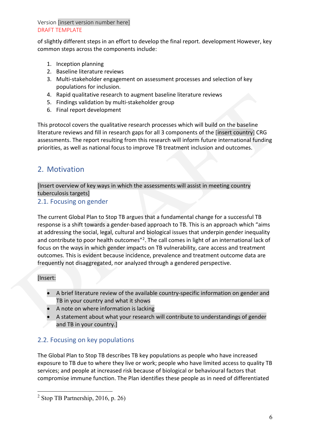of slightly different steps in an effort to develop the final report. development However, key common steps across the components include:

- 1. Inception planning
- 2. Baseline literature reviews
- 3. Multi-stakeholder engagement on assessment processes and selection of key populations for inclusion.
- 4. Rapid qualitative research to augment baseline literature reviews
- 5. Findings validation by multi-stakeholder group
- 6. Final report development

This protocol covers the qualitative research processes which will build on the baseline literature reviews and fill in research gaps for all 3 components of the [insert country] CRG assessments. The report resulting from this research will inform future international funding priorities, as well as national focus to improve TB treatment inclusion and outcomes.

# 2. Motivation

[Insert overview of key ways in which the assessments will assist in meeting country tuberculosis targets]

## 2.1. Focusing on gender

The current Global Plan to Stop TB argues that a fundamental change for a successful TB response is a shift towards a gender-based approach to TB. This is an approach which "aims at addressing the social, legal, cultural and biological issues that underpin gender inequality and contribute to poor health outcomes"<sup>2</sup>. The call comes in light of an international lack of focus on the ways in which gender impacts on TB vulnerability, care access and treatment outcomes. This is evident because incidence, prevalence and treatment outcome data are frequently not disaggregated, nor analyzed through a gendered perspective.

## [Insert:

- A brief literature review of the available country-specific information on gender and TB in your country and what it shows
- A note on where information is lacking
- A statement about what your research will contribute to understandings of gender and TB in your country.]

# 2.2. Focusing on key populations

The Global Plan to Stop TB describes TB key populations as people who have increased exposure to TB due to where they live or work; people who have limited access to quality TB services; and people at increased risk because of biological or behavioural factors that compromise immune function. The Plan identifies these people as in need of differentiated

<span id="page-5-0"></span> $2$  Stop TB Partnership, 2016, p. 26)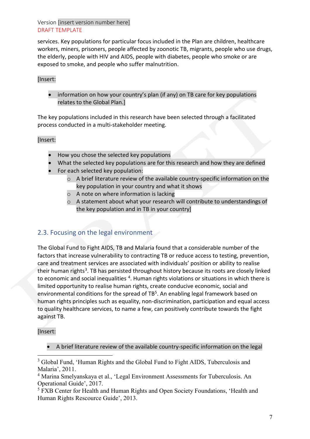services. Key populations for particular focus included in the Plan are children, healthcare workers, miners, prisoners, people affected by zoonotic TB, migrants, people who use drugs, the elderly, people with HIV and AIDS, people with diabetes, people who smoke or are exposed to smoke, and people who suffer malnutrition.

#### [Insert:

• information on how your country's plan (if any) on TB care for key populations relates to the Global Plan.]

The key populations included in this research have been selected through a facilitated process conducted in a multi-stakeholder meeting.

#### [Insert:

- How you chose the selected key populations
- What the selected key populations are for this research and how they are defined
- For each selected key population:
	- o A brief literature review of the available country-specific information on the key population in your country and what it shows
	- o A note on where information is lacking
	- o A statement about what your research will contribute to understandings of the key population and in TB in your country]

# 2.3. Focusing on the legal environment

The Global Fund to Fight AIDS, TB and Malaria found that a considerable number of the factors that increase vulnerability to contracting TB or reduce access to testing, prevention, care and treatment services are associated with individuals' position or ability to realise their human rights<sup>[3](#page-6-0)</sup>. TB has persisted throughout history because its roots are closely linked to economic and social inequalities <sup>4</sup>. Human rights violations or situations in which there is limited opportunity to realise human rights, create conducive economic, social and environmental conditions for the spread of TB<sup>5</sup>. An enabling legal framework based on human rights principles such as equality, non-discrimination, participation and equal access to quality healthcare services, to name a few, can positively contribute towards the fight against TB.

#### [Insert:

• A brief literature review of the available country-specific information on the legal

<span id="page-6-0"></span><sup>&</sup>lt;sup>3</sup> Global Fund, 'Human Rights and the Global Fund to Fight AIDS, Tuberculosis and Malaria', 2011.

<span id="page-6-1"></span><sup>4</sup> Marina Smelyanskaya et al., 'Legal Environment Assessments for Tuberculosis. An Operational Guide', 2017.

<span id="page-6-2"></span><sup>&</sup>lt;sup>5</sup> FXB Center for Health and Human Rights and Open Society Foundations, 'Health and Human Rights Rescource Guide', 2013.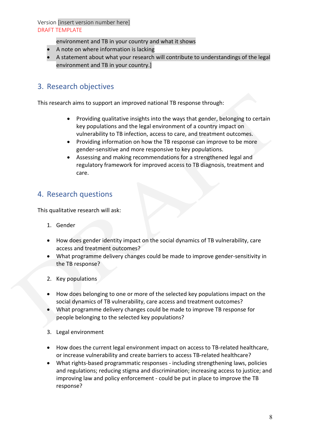- environment and TB in your country and what it shows
- A note on where information is lacking
- A statement about what your research will contribute to understandings of the legal environment and TB in your country.]

# 3. Research objectives

This research aims to support an improved national TB response through:

- Providing qualitative insights into the ways that gender, belonging to certain key populations and the legal environment of a country impact on vulnerability to TB infection, access to care, and treatment outcomes.
- Providing information on how the TB response can improve to be more gender-sensitive and more responsive to key populations.
- Assessing and making recommendations for a strengthened legal and regulatory framework for improved access to TB diagnosis, treatment and care.

# 4. Research questions

This qualitative research will ask:

- 1. Gender
- How does gender identity impact on the social dynamics of TB vulnerability, care access and treatment outcomes?
- What programme delivery changes could be made to improve gender-sensitivity in the TB response?
- 2. Key populations
- How does belonging to one or more of the selected key populations impact on the social dynamics of TB vulnerability, care access and treatment outcomes?
- What programme delivery changes could be made to improve TB response for people belonging to the selected key populations?
- 3. Legal environment
- How does the current legal environment impact on access to TB-related healthcare, or increase vulnerability and create barriers to access TB-related healthcare?
- What rights-based programmatic responses including strengthening laws, policies and regulations; reducing stigma and discrimination; increasing access to justice; and improving law and policy enforcement - could be put in place to improve the TB response?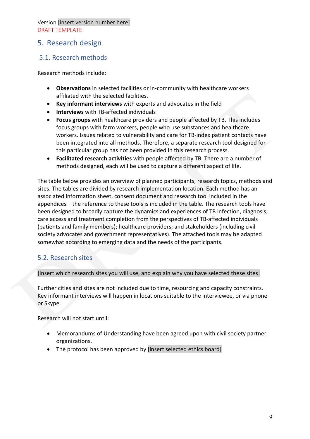# 5. Research design

# 5.1. Research methods

Research methods include:

- **Observations** in selected facilities or in-community with healthcare workers affiliated with the selected facilities.
- **Key informant interviews** with experts and advocates in the field
- **Interviews** with TB-affected individuals
- **Focus groups** with healthcare providers and people affected by TB. This includes focus groups with farm workers, people who use substances and healthcare workers. Issues related to vulnerability and care for TB-index patient contacts have been integrated into all methods. Therefore, a separate research tool designed for this particular group has not been provided in this research process.
- **Facilitated research activities** with people affected by TB. There are a number of methods designed, each will be used to capture a different aspect of life.

The table below provides an overview of planned participants, research topics, methods and sites. The tables are divided by research implementation location. Each method has an associated information sheet, consent document and research tool included in the appendices – the reference to these tools is included in the table. The research tools have been designed to broadly capture the dynamics and experiences of TB infection, diagnosis, care access and treatment completion from the perspectives of TB-affected individuals (patients and family members); healthcare providers; and stakeholders (including civil society advocates and government representatives). The attached tools may be adapted somewhat according to emerging data and the needs of the participants.

## 5.2. Research sites

#### [Insert which research sites you will use, and explain why you have selected these sites]

Further cities and sites are not included due to time, resourcing and capacity constraints. Key informant interviews will happen in locations suitable to the interviewee, or via phone or Skype.

Research will not start until:

- Memorandums of Understanding have been agreed upon with civil society partner organizations.
- The protocol has been approved by [insert selected ethics board]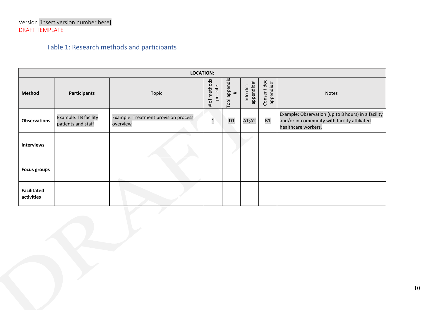# Table 1: Research methods and participants

|                                  | <b>LOCATION:</b>                           |                                                  |                             |                                 |                                        |                              |                                                                                                                           |  |
|----------------------------------|--------------------------------------------|--------------------------------------------------|-----------------------------|---------------------------------|----------------------------------------|------------------------------|---------------------------------------------------------------------------------------------------------------------------|--|
| <b>Method</b>                    | <b>Participants</b>                        | Topic                                            | # of methods<br>site<br>per | appendix<br>$\pmb{\mp}$<br>Tool | #<br>Info doc<br>appendix <sub>i</sub> | doc<br>appendix #<br>Consent | <b>Notes</b>                                                                                                              |  |
| <b>Observations</b>              | Example: TB facility<br>patients and staff | Example: Treatment provision process<br>overview | $\mathbf{1}$                | D <sub>1</sub>                  | A1;A2                                  | <b>B1</b>                    | Example: Observation (up to 8 hours) in a facility<br>and/or in-community with facility affiliated<br>healthcare workers. |  |
| <b>Interviews</b>                |                                            |                                                  |                             |                                 |                                        |                              |                                                                                                                           |  |
| <b>Focus groups</b>              |                                            |                                                  |                             |                                 |                                        |                              |                                                                                                                           |  |
| <b>Facilitated</b><br>activities |                                            |                                                  |                             |                                 |                                        |                              |                                                                                                                           |  |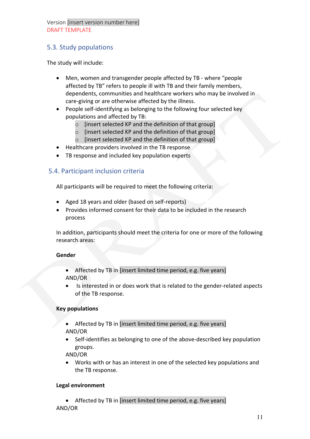# 5.3. Study populations

The study will include:

- Men, women and transgender people affected by TB where "people affected by TB" refers to people ill with TB and their family members, dependents, communities and healthcare workers who may be involved in care-giving or are otherwise affected by the illness.
- People self-identifying as belonging to the following four selected key populations and affected by TB:
	- o [insert selected KP and the definition of that group]
	- o [insert selected KP and the definition of that group]
	- o [insert selected KP and the definition of that group]
- Healthcare providers involved in the TB response
- TB response and included key population experts

## 5.4. Participant inclusion criteria

All participants will be required to meet the following criteria:

- Aged 18 years and older (based on self-reports)
- Provides informed consent for their data to be included in the research process

In addition, participants should meet the criteria for one or more of the following research areas:

#### **Gender**

- Affected by TB in [insert limited time period, e.g. five years] AND/OR
- Is interested in or does work that is related to the gender-related aspects of the TB response.

#### **Key populations**

- Affected by TB in [insert limited time period, e.g. five years] AND/OR
- Self-identifies as belonging to one of the above-described key population groups.

AND/OR

• Works with or has an interest in one of the selected key populations and the TB response.

#### **Legal environment**

• Affected by TB in [insert limited time period, e.g. five years] AND/OR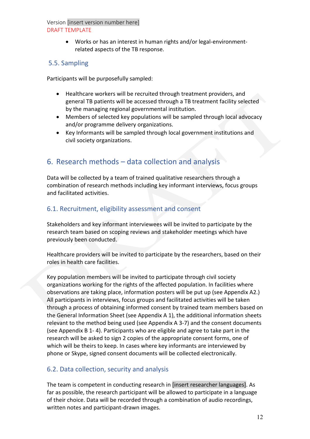• Works or has an interest in human rights and/or legal-environmentrelated aspects of the TB response.

## 5.5. Sampling

Participants will be purposefully sampled:

- Healthcare workers will be recruited through treatment providers, and general TB patients will be accessed through a TB treatment facility selected by the managing regional governmental institution.
- Members of selected key populations will be sampled through local advocacy and/or programme delivery organizations.
- Key Informants will be sampled through local government institutions and civil society organizations.

# 6. Research methods – data collection and analysis

Data will be collected by a team of trained qualitative researchers through a combination of research methods including key informant interviews, focus groups and facilitated activities.

## 6.1. Recruitment, eligibility assessment and consent

Stakeholders and key informant interviewees will be invited to participate by the research team based on scoping reviews and stakeholder meetings which have previously been conducted.

Healthcare providers will be invited to participate by the researchers, based on their roles in health care facilities.

Key population members will be invited to participate through civil society organizations working for the rights of the affected population. In facilities where observations are taking place, information posters will be put up (see Appendix A2.) All participants in interviews, focus groups and facilitated activities will be taken through a process of obtaining informed consent by trained team members based on the General Information Sheet (see Appendix A 1), the additional information sheets relevant to the method being used (see Appendix A 3-7) and the consent documents (see Appendix B 1- 4). Participants who are eligible and agree to take part in the research will be asked to sign 2 copies of the appropriate consent forms, one of which will be theirs to keep. In cases where key informants are interviewed by phone or Skype, signed consent documents will be collected electronically.

# 6.2. Data collection, security and analysis

The team is competent in conducting research in [insert researcher languages]. As far as possible, the research participant will be allowed to participate in a language of their choice. Data will be recorded through a combination of audio recordings, written notes and participant-drawn images.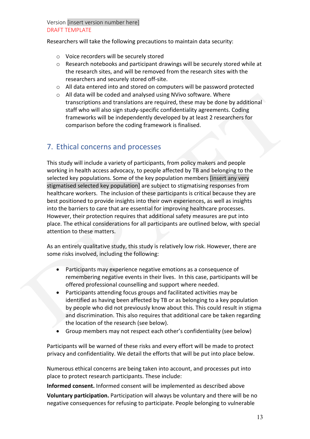Researchers will take the following precautions to maintain data security:

- o Voice recorders will be securely stored
- o Research notebooks and participant drawings will be securely stored while at the research sites, and will be removed from the research sites with the researchers and securely stored off-site.
- o All data entered into and stored on computers will be password protected
- o All data will be coded and analysed using NVivo software. Where transcriptions and translations are required, these may be done by additional staff who will also sign study-specific confidentiality agreements. Coding frameworks will be independently developed by at least 2 researchers for comparison before the coding framework is finalised.

# 7. Ethical concerns and processes

This study will include a variety of participants, from policy makers and people working in health access advocacy, to people affected by TB and belonging to the selected key populations. Some of the key population members [insert any very stigmatised selected key population] are subject to stigmatising responses from healthcare workers. The inclusion of these participants is critical because they are best positioned to provide insights into their own experiences, as well as insights into the barriers to care that are essential for improving healthcare processes. However, their protection requires that additional safety measures are put into place. The ethical considerations for all participants are outlined below, with special attention to these matters.

As an entirely qualitative study, this study is relatively low risk. However, there are some risks involved, including the following:

- Participants may experience negative emotions as a consequence of remembering negative events in their lives. In this case, participants will be offered professional counselling and support where needed.
- Participants attending focus groups and facilitated activities may be identified as having been affected by TB or as belonging to a key population by people who did not previously know about this. This could result in stigma and discrimination. This also requires that additional care be taken regarding the location of the research (see below).
- Group members may not respect each other's confidentiality (see below)

Participants will be warned of these risks and every effort will be made to protect privacy and confidentiality. We detail the efforts that will be put into place below.

Numerous ethical concerns are being taken into account, and processes put into place to protect research participants. These include:

**Informed consent.** Informed consent will be implemented as described above **Voluntary participation.** Participation will always be voluntary and there will be no negative consequences for refusing to participate. People belonging to vulnerable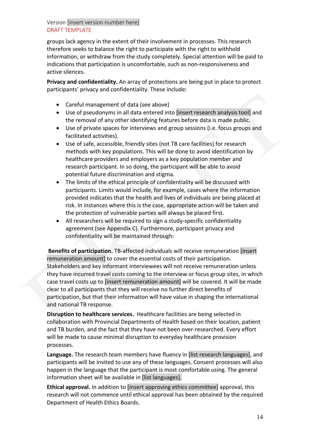groups lack agency in the extent of their involvement in processes. This research therefore seeks to balance the right to participate with the right to withhold information, or withdraw from the study completely. Special attention will be paid to indications that participation is uncomfortable, such as non-responsiveness and active silences.

**Privacy and confidentiality.** An array of protections are being put in place to protect participants' privacy and confidentiality. These include:

- Careful management of data (see above)
- Use of pseudonyms in all data entered into [insert research analysis tool] and the removal of any other identifying features before data is made public.
- Use of private spaces for interviews and group sessions (i.e. focus groups and facilitated activities).
- Use of safe, accessible, friendly sites (not TB care facilities) for research methods with key populations. This will be done to avoid identification by healthcare providers and employers as a key population member and research participant. In so doing, the participant will be able to avoid potential future discrimination and stigma.
- The limits of the ethical principle of confidentiality will be discussed with participants. Limits would include, for example, cases where the information provided indicates that the health and lives of individuals are being placed at risk. In instances where this is the case, appropriate action will be taken and the protection of vulnerable parties will always be placed first.
- All researchers will be required to sign a study-specific confidentiality agreement (see Appendix C). Furthermore, participant privacy and confidentiality will be maintained through:

**Benefits of participation.** TB-affected individuals will receive remuneration [insert remuneration amount] to cover the essential costs of their participation. Stakeholders and key informant interviewees will not receive remuneration unless they have incurred travel costs coming to the interview or focus group sites, in which case travel costs up to [insert remuneration amount] will be covered. It will be made clear to all participants that they will receive no further direct benefits of participation, but that their information will have value in shaping the international and national TB response.

**Disruption to healthcare services.** Healthcare facilities are being selected in collaboration with Provincial Departments of Health based on their location, patient and TB burden, and the fact that they have not been over-researched. Every effort will be made to cause minimal disruption to everyday healthcare provision processes.

**Language.** The research team members have fluency in [list research languages], and participants will be invited to use any of these languages. Consent processes will also happen in the language that the participant is most comfortable using. The general information sheet will be available in [list languages].

**Ethical approval.** In addition to [insert approving ethics committee] approval, this research will not commence until ethical approval has been obtained by the required Department of Health Ethics Boards.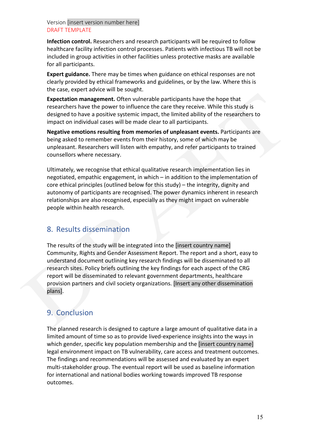**Infection control.** Researchers and research participants will be required to follow healthcare facility infection control processes. Patients with infectious TB will not be included in group activities in other facilities unless protective masks are available for all participants.

**Expert guidance.** There may be times when guidance on ethical responses are not clearly provided by ethical frameworks and guidelines, or by the law. Where this is the case, expert advice will be sought.

**Expectation management.** Often vulnerable participants have the hope that researchers have the power to influence the care they receive. While this study is designed to have a positive systemic impact, the limited ability of the researchers to impact on individual cases will be made clear to all participants.

**Negative emotions resulting from memories of unpleasant events.** Participants are being asked to remember events from their history, some of which may be unpleasant. Researchers will listen with empathy, and refer participants to trained counsellors where necessary.

Ultimately, we recognise that ethical qualitative research implementation lies in negotiated, empathic engagement, in which – in addition to the implementation of core ethical principles (outlined below for this study) – the integrity, dignity and autonomy of participants are recognised. The power dynamics inherent in research relationships are also recognised, especially as they might impact on vulnerable people within health research.

# 8. Results dissemination

The results of the study will be integrated into the [insert country name] Community, Rights and Gender Assessment Report. The report and a short, easy to understand document outlining key research findings will be disseminated to all research sites. Policy briefs outlining the key findings for each aspect of the CRG report will be disseminated to relevant government departments, healthcare provision partners and civil society organizations. [Insert any other dissemination plans].

# 9. Conclusion

The planned research is designed to capture a large amount of qualitative data in a limited amount of time so as to provide lived-experience insights into the ways in which gender, specific key population membership and the [insert country name] legal environment impact on TB vulnerability, care access and treatment outcomes. The findings and recommendations will be assessed and evaluated by an expert multi-stakeholder group. The eventual report will be used as baseline information for international and national bodies working towards improved TB response outcomes.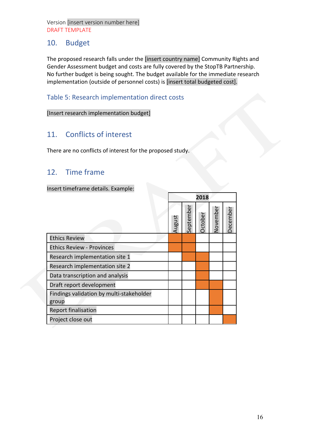# 10. Budget

The proposed research falls under the [insert country name] Community Rights and Gender Assessment budget and costs are fully covered by the StopTB Partnership. No further budget is being sought. The budget available for the immediate research implementation (outside of personnel costs) is [insert total budgeted cost].

**2018**

## Table 5: Research implementation direct costs

[Insert research implementation budget]

# 11. Conflicts of interest

There are no conflicts of interest for the proposed study.

# 12. Time frame

Insert timeframe details. Example:

|                                          |        |           | 2010           |          |          |
|------------------------------------------|--------|-----------|----------------|----------|----------|
|                                          | August | September | <b>Dctober</b> | November | December |
| <b>Ethics Review</b>                     |        |           |                |          |          |
| <b>Ethics Review - Provinces</b>         |        |           |                |          |          |
| Research implementation site 1           |        |           |                |          |          |
| Research implementation site 2           |        |           |                |          |          |
| Data transcription and analysis          |        |           |                |          |          |
| Draft report development                 |        |           |                |          |          |
| Findings validation by multi-stakeholder |        |           |                |          |          |
| group                                    |        |           |                |          |          |
| <b>Report finalisation</b>               |        |           |                |          |          |
| Project close out                        |        |           |                |          |          |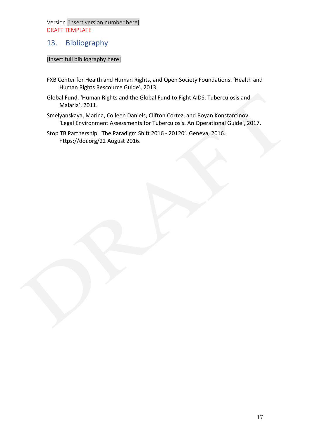# 13. Bibliography

#### [insert full bibliography here]

- FXB Center for Health and Human Rights, and Open Society Foundations. 'Health and Human Rights Rescource Guide', 2013.
- Global Fund. 'Human Rights and the Global Fund to Fight AIDS, Tuberculosis and Malaria', 2011.
- Smelyanskaya, Marina, Colleen Daniels, Clifton Cortez, and Boyan Konstantinov. 'Legal Environment Assessments for Tuberculosis. An Operational Guide', 2017.
- Stop TB Partnership. 'The Paradigm Shift 2016 20120'. Geneva, 2016. https://doi.org/22 August 2016.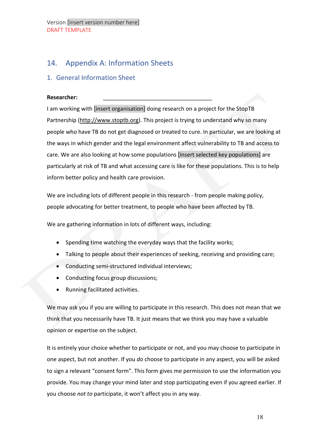# 14. Appendix A: Information Sheets

## 1. General Information Sheet

#### **Researcher:** \_\_\_\_\_\_\_\_\_\_\_\_\_\_\_\_\_\_\_\_\_\_\_\_\_\_\_\_\_\_\_\_\_\_\_

I am working with [insert organisation] doing research on a project for the StopTB Partnership [\(http://www.stoptb.org\)](http://www.stoptb.org/). This project is trying to understand why so many people who have TB do not get diagnosed or treated to cure. In particular, we are looking at the ways in which gender and the legal environment affect vulnerability to TB and access to care. We are also looking at how some populations [insert selected key populations] are particularly at risk of TB and what accessing care is like for these populations. This is to help inform better policy and health care provision.

We are including lots of different people in this research - from people making policy, people advocating for better treatment, to people who have been affected by TB.

We are gathering information in lots of different ways, including:

- Spending time watching the everyday ways that the facility works;
- Talking to people about their experiences of seeking, receiving and providing care;
- Conducting semi-structured individual interviews;
- Conducting focus group discussions;
- Running facilitated activities.

We may ask you if you are willing to participate in this research. This does not mean that we think that you necessarily have TB. It just means that we think you may have a valuable opinion or expertise on the subject.

It is entirely your choice whether to participate or not, and you may choose to participate in one aspect, but not another. If you *do* choose to participate in any aspect, you will be asked to sign a relevant "consent form". This form gives me permission to use the information you provide. You may change your mind later and stop participating even if you agreed earlier. If you choose *not to* participate, it won't affect you in any way.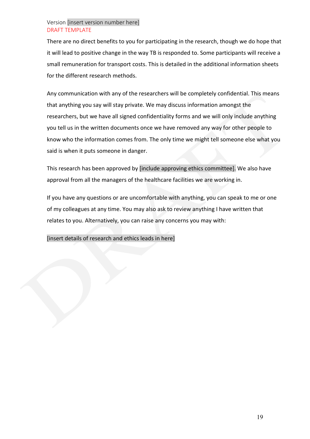There are no direct benefits to you for participating in the research, though we do hope that it will lead to positive change in the way TB is responded to. Some participants will receive a small remuneration for transport costs. This is detailed in the additional information sheets for the different research methods.

Any communication with any of the researchers will be completely confidential. This means that anything you say will stay private. We may discuss information amongst the researchers, but we have all signed confidentiality forms and we will only include anything you tell us in the written documents once we have removed any way for other people to know who the information comes from. The only time we might tell someone else what you said is when it puts someone in danger.

This research has been approved by [include approving ethics committee]. We also have approval from all the managers of the healthcare facilities we are working in.

If you have any questions or are uncomfortable with anything, you can speak to me or one of my colleagues at any time. You may also ask to review anything I have written that relates to you. Alternatively, you can raise any concerns you may with:

[insert details of research and ethics leads in here]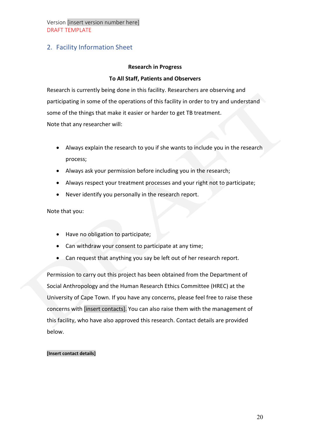## 2. Facility Information Sheet

#### **Research in Progress**

#### **To All Staff, Patients and Observers**

Research is currently being done in this facility. Researchers are observing and participating in some of the operations of this facility in order to try and understand some of the things that make it easier or harder to get TB treatment. Note that any researcher will:

- Always explain the research to you if she wants to include you in the research process;
- Always ask your permission before including you in the research;
- Always respect your treatment processes and your right not to participate;
- Never identify you personally in the research report.

Note that you:

- Have no obligation to participate;
- Can withdraw your consent to participate at any time;
- Can request that anything you say be left out of her research report.

Permission to carry out this project has been obtained from the Department of Social Anthropology and the Human Research Ethics Committee (HREC) at the University of Cape Town. If you have any concerns, please feel free to raise these concerns with [insert contacts]. You can also raise them with the management of this facility, who have also approved this research. Contact details are provided below.

#### **[Insert contact details]**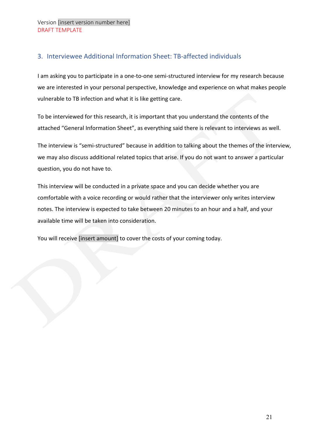# 3. Interviewee Additional Information Sheet: TB-affected individuals

I am asking you to participate in a one-to-one semi-structured interview for my research because we are interested in your personal perspective, knowledge and experience on what makes people vulnerable to TB infection and what it is like getting care.

To be interviewed for this research, it is important that you understand the contents of the attached "General Information Sheet", as everything said there is relevant to interviews as well.

The interview is "semi-structured" because in addition to talking about the themes of the interview, we may also discuss additional related topics that arise. If you do not want to answer a particular question, you do not have to.

This interview will be conducted in a private space and you can decide whether you are comfortable with a voice recording or would rather that the interviewer only writes interview notes. The interview is expected to take between 20 minutes to an hour and a half, and your available time will be taken into consideration.

You will receive [insert amount] to cover the costs of your coming today.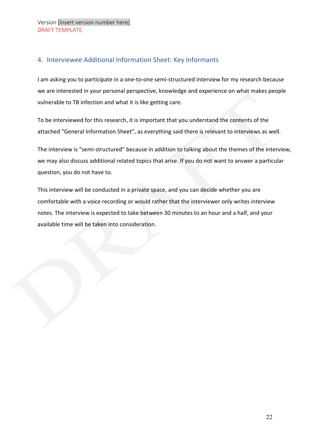# 4. Interviewee Additional Information Sheet: Key Informants

I am asking you to participate in a one-to-one semi-structured interview for my research because we are interested in your personal perspective, knowledge and experience on what makes people vulnerable to TB infection and what it is like getting care.

To be interviewed for this research, it is important that you understand the contents of the attached "General Information Sheet", as everything said there is relevant to interviews as well.

The interview is "semi-structured" because in addition to talking about the themes of the interview, we may also discuss additional related topics that arise. If you do not want to answer a particular question, you do not have to.

This interview will be conducted in a private space, and you can decide whether you are comfortable with a voice recording or would rather that the interviewer only writes interview notes. The interview is expected to take between 30 minutes to an hour and a half, and your available time will be taken into consideration.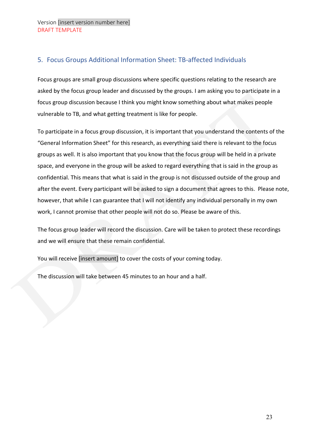# 5. Focus Groups Additional Information Sheet: TB-affected Individuals

Focus groups are small group discussions where specific questions relating to the research are asked by the focus group leader and discussed by the groups. I am asking you to participate in a focus group discussion because I think you might know something about what makes people vulnerable to TB, and what getting treatment is like for people.

To participate in a focus group discussion, it is important that you understand the contents of the "General Information Sheet" for this research, as everything said there is relevant to the focus groups as well. It is also important that you know that the focus group will be held in a private space, and everyone in the group will be asked to regard everything that is said in the group as confidential. This means that what is said in the group is not discussed outside of the group and after the event. Every participant will be asked to sign a document that agrees to this. Please note, however, that while I can guarantee that I will not identify any individual personally in my own work, I cannot promise that other people will not do so. Please be aware of this.

The focus group leader will record the discussion. Care will be taken to protect these recordings and we will ensure that these remain confidential.

You will receive [insert amount] to cover the costs of your coming today.

The discussion will take between 45 minutes to an hour and a half.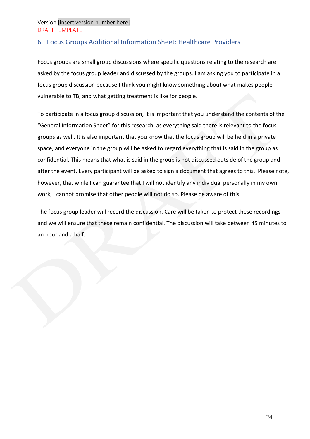# 6. Focus Groups Additional Information Sheet: Healthcare Providers

Focus groups are small group discussions where specific questions relating to the research are asked by the focus group leader and discussed by the groups. I am asking you to participate in a focus group discussion because I think you might know something about what makes people vulnerable to TB, and what getting treatment is like for people.

To participate in a focus group discussion, it is important that you understand the contents of the "General Information Sheet" for this research, as everything said there is relevant to the focus groups as well. It is also important that you know that the focus group will be held in a private space, and everyone in the group will be asked to regard everything that is said in the group as confidential. This means that what is said in the group is not discussed outside of the group and after the event. Every participant will be asked to sign a document that agrees to this. Please note, however, that while I can guarantee that I will not identify any individual personally in my own work, I cannot promise that other people will not do so. Please be aware of this.

The focus group leader will record the discussion. Care will be taken to protect these recordings and we will ensure that these remain confidential. The discussion will take between 45 minutes to an hour and a half.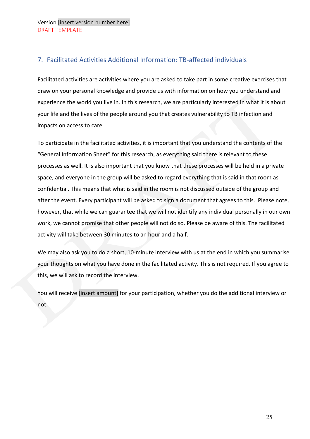## 7. Facilitated Activities Additional Information: TB-affected individuals

Facilitated activities are activities where you are asked to take part in some creative exercises that draw on your personal knowledge and provide us with information on how you understand and experience the world you live in. In this research, we are particularly interested in what it is about your life and the lives of the people around you that creates vulnerability to TB infection and impacts on access to care.

To participate in the facilitated activities, it is important that you understand the contents of the "General Information Sheet" for this research, as everything said there is relevant to these processes as well. It is also important that you know that these processes will be held in a private space, and everyone in the group will be asked to regard everything that is said in that room as confidential. This means that what is said in the room is not discussed outside of the group and after the event. Every participant will be asked to sign a document that agrees to this. Please note, however, that while we can guarantee that we will not identify any individual personally in our own work, we cannot promise that other people will not do so. Please be aware of this. The facilitated activity will take between 30 minutes to an hour and a half.

We may also ask you to do a short, 10-minute interview with us at the end in which you summarise your thoughts on what you have done in the facilitated activity. This is not required. If you agree to this, we will ask to record the interview.

You will receive [insert amount] for your participation, whether you do the additional interview or not.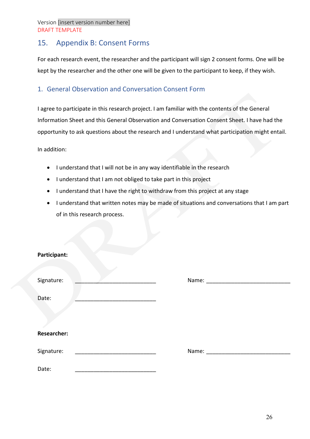# 15. Appendix B: Consent Forms

For each research event, the researcher and the participant will sign 2 consent forms. One will be kept by the researcher and the other one will be given to the participant to keep, if they wish.

### 1. General Observation and Conversation Consent Form

I agree to participate in this research project. I am familiar with the contents of the General Information Sheet and this General Observation and Conversation Consent Sheet. I have had the opportunity to ask questions about the research and I understand what participation might entail.

- I understand that I will not be in any way identifiable in the research
- I understand that I am not obliged to take part in this project
- I understand that I have the right to withdraw from this project at any stage
- I understand that written notes may be made of situations and conversations that I am part of in this research process.

| Participant:       |                                                                                                                |  |
|--------------------|----------------------------------------------------------------------------------------------------------------|--|
| Signature:         | Name: and the state of the state of the state of the state of the state of the state of the state of the state |  |
| Date:              |                                                                                                                |  |
|                    |                                                                                                                |  |
| <b>Researcher:</b> |                                                                                                                |  |
| Signature:         |                                                                                                                |  |
| Date:              |                                                                                                                |  |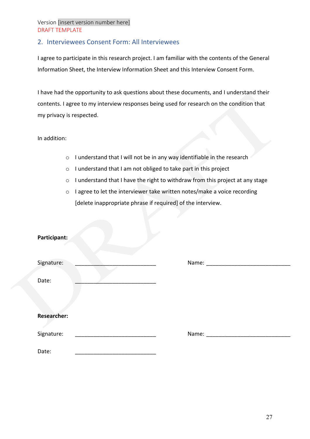## 2. Interviewees Consent Form: All Interviewees

I agree to participate in this research project. I am familiar with the contents of the General Information Sheet, the Interview Information Sheet and this Interview Consent Form.

I have had the opportunity to ask questions about these documents, and I understand their contents. I agree to my interview responses being used for research on the condition that my privacy is respected.

- o I understand that I will not be in any way identifiable in the research
- o I understand that I am not obliged to take part in this project
- o I understand that I have the right to withdraw from this project at any stage
- o I agree to let the interviewer take written notes/make a voice recording [delete inappropriate phrase if required] of the interview.

| Participant:       |                                                                                                                                                                                                                               |  |
|--------------------|-------------------------------------------------------------------------------------------------------------------------------------------------------------------------------------------------------------------------------|--|
| Signature:         |                                                                                                                                                                                                                               |  |
| Date:              |                                                                                                                                                                                                                               |  |
|                    |                                                                                                                                                                                                                               |  |
| <b>Researcher:</b> |                                                                                                                                                                                                                               |  |
|                    |                                                                                                                                                                                                                               |  |
| Signature:         | Name: and the state of the state of the state of the state of the state of the state of the state of the state of the state of the state of the state of the state of the state of the state of the state of the state of the |  |
| Date:              |                                                                                                                                                                                                                               |  |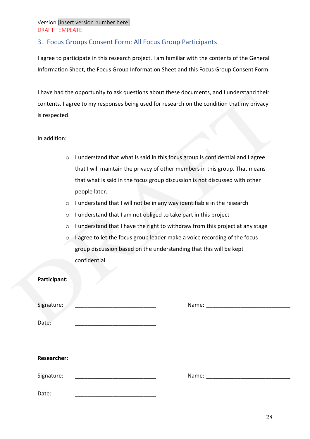## 3. Focus Groups Consent Form: All Focus Group Participants

I agree to participate in this research project. I am familiar with the contents of the General Information Sheet, the Focus Group Information Sheet and this Focus Group Consent Form.

I have had the opportunity to ask questions about these documents, and I understand their contents. I agree to my responses being used for research on the condition that my privacy is respected.

- o I understand that what is said in this focus group is confidential and I agree that I will maintain the privacy of other members in this group. That means that what is said in the focus group discussion is not discussed with other people later.
- o I understand that I will not be in any way identifiable in the research
- o I understand that I am not obliged to take part in this project
- o I understand that I have the right to withdraw from this project at any stage
- o I agree to let the focus group leader make a voice recording of the focus group discussion based on the understanding that this will be kept confidential.

| Participant:       |                                                                                                                                                                                                                               |  |
|--------------------|-------------------------------------------------------------------------------------------------------------------------------------------------------------------------------------------------------------------------------|--|
| Signature:         |                                                                                                                                                                                                                               |  |
| Date:              |                                                                                                                                                                                                                               |  |
|                    |                                                                                                                                                                                                                               |  |
| <b>Researcher:</b> |                                                                                                                                                                                                                               |  |
| Signature:         | Name: and the state of the state of the state of the state of the state of the state of the state of the state of the state of the state of the state of the state of the state of the state of the state of the state of the |  |
| Date:              |                                                                                                                                                                                                                               |  |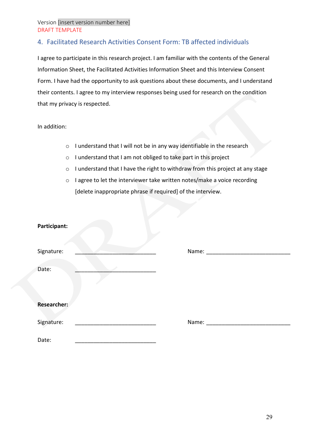# 4. Facilitated Research Activities Consent Form: TB affected individuals

I agree to participate in this research project. I am familiar with the contents of the General Information Sheet, the Facilitated Activities Information Sheet and this Interview Consent Form. I have had the opportunity to ask questions about these documents, and I understand their contents. I agree to my interview responses being used for research on the condition that my privacy is respected.

- o I understand that I will not be in any way identifiable in the research
- o I understand that I am not obliged to take part in this project
- o I understand that I have the right to withdraw from this project at any stage
- o I agree to let the interviewer take written notes/make a voice recording [delete inappropriate phrase if required] of the interview.

| Participant: |                                                                                                                |  |
|--------------|----------------------------------------------------------------------------------------------------------------|--|
| Signature:   | Name: and the state of the state of the state of the state of the state of the state of the state of the state |  |
| Date:        |                                                                                                                |  |
| Researcher:  |                                                                                                                |  |
| Signature:   |                                                                                                                |  |
| Date:        |                                                                                                                |  |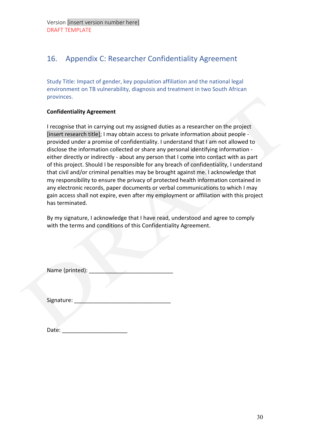# 16. Appendix C: Researcher Confidentiality Agreement

Study Title: Impact of gender, key population affiliation and the national legal environment on TB vulnerability, diagnosis and treatment in two South African provinces.

#### **Confidentiality Agreement**

I recognise that in carrying out my assigned duties as a researcher on the project [insert research title]; I may obtain access to private information about people provided under a promise of confidentiality. I understand that I am not allowed to disclose the information collected or share any personal identifying information either directly or indirectly - about any person that I come into contact with as part of this project. Should I be responsible for any breach of confidentiality, I understand that civil and/or criminal penalties may be brought against me. I acknowledge that my responsibility to ensure the privacy of protected health information contained in any electronic records, paper documents or verbal communications to which I may gain access shall not expire, even after my employment or affiliation with this project has terminated.

By my signature, I acknowledge that I have read, understood and agree to comply with the terms and conditions of this Confidentiality Agreement.

| Name (printed): |  |
|-----------------|--|
|-----------------|--|

| Signature: |  |  |  |  |  |  |
|------------|--|--|--|--|--|--|
|------------|--|--|--|--|--|--|

| Date: |  |
|-------|--|
|       |  |